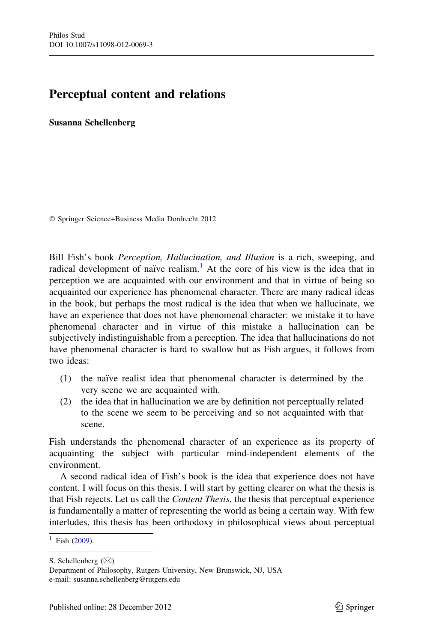## Perceptual content and relations

Susanna Schellenberg

- Springer Science+Business Media Dordrecht 2012

Bill Fish's book Perception, Hallucination, and Illusion is a rich, sweeping, and radical development of naïve realism.<sup>1</sup> At the core of his view is the idea that in perception we are acquainted with our environment and that in virtue of being so acquainted our experience has phenomenal character. There are many radical ideas in the book, but perhaps the most radical is the idea that when we hallucinate, we have an experience that does not have phenomenal character: we mistake it to have phenomenal character and in virtue of this mistake a hallucination can be subjectively indistinguishable from a perception. The idea that hallucinations do not have phenomenal character is hard to swallow but as Fish argues, it follows from two ideas:

- (1) the naïve realist idea that phenomenal character is determined by the very scene we are acquainted with.
- (2) the idea that in hallucination we are by definition not perceptually related to the scene we seem to be perceiving and so not acquainted with that scene.

Fish understands the phenomenal character of an experience as its property of acquainting the subject with particular mind-independent elements of the environment.

A second radical idea of Fish's book is the idea that experience does not have content. I will focus on this thesis. I will start by getting clearer on what the thesis is that Fish rejects. Let us call the *Content Thesis*, the thesis that perceptual experience is fundamentally a matter of representing the world as being a certain way. With few interludes, this thesis has been orthodoxy in philosophical views about perceptual

 $1$  Fish (2009).

S. Schellenberg  $(\boxtimes)$ 

Department of Philosophy, Rutgers University, New Brunswick, NJ, USA e-mail: susanna.schellenberg@rutgers.edu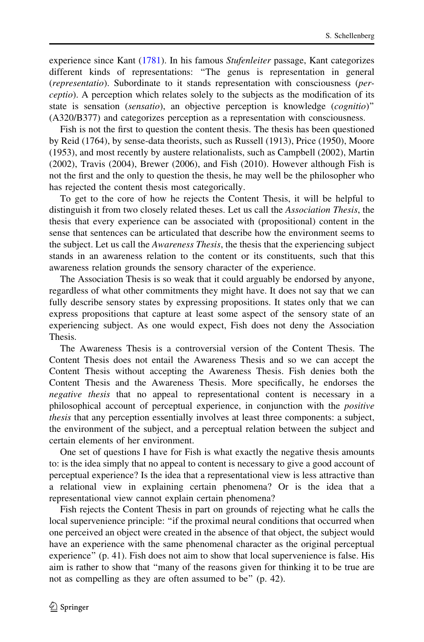experience since Kant (1781). In his famous Stufenleiter passage, Kant categorizes different kinds of representations: ''The genus is representation in general (representatio). Subordinate to it stands representation with consciousness (perceptio). A perception which relates solely to the subjects as the modification of its state is sensation (sensatio), an objective perception is knowledge (cognitio)" (A320/B377) and categorizes perception as a representation with consciousness.

Fish is not the first to question the content thesis. The thesis has been questioned by Reid (1764), by sense-data theorists, such as Russell (1913), Price (1950), Moore (1953), and most recently by austere relationalists, such as Campbell (2002), Martin (2002), Travis (2004), Brewer (2006), and Fish (2010). However although Fish is not the first and the only to question the thesis, he may well be the philosopher who has rejected the content thesis most categorically.

To get to the core of how he rejects the Content Thesis, it will be helpful to distinguish it from two closely related theses. Let us call the Association Thesis, the thesis that every experience can be associated with (propositional) content in the sense that sentences can be articulated that describe how the environment seems to the subject. Let us call the *Awareness Thesis*, the thesis that the experiencing subject stands in an awareness relation to the content or its constituents, such that this awareness relation grounds the sensory character of the experience.

The Association Thesis is so weak that it could arguably be endorsed by anyone, regardless of what other commitments they might have. It does not say that we can fully describe sensory states by expressing propositions. It states only that we can express propositions that capture at least some aspect of the sensory state of an experiencing subject. As one would expect, Fish does not deny the Association Thesis.

The Awareness Thesis is a controversial version of the Content Thesis. The Content Thesis does not entail the Awareness Thesis and so we can accept the Content Thesis without accepting the Awareness Thesis. Fish denies both the Content Thesis and the Awareness Thesis. More specifically, he endorses the *negative thesis* that no appeal to representational content is necessary in a philosophical account of perceptual experience, in conjunction with the positive thesis that any perception essentially involves at least three components: a subject, the environment of the subject, and a perceptual relation between the subject and certain elements of her environment.

One set of questions I have for Fish is what exactly the negative thesis amounts to: is the idea simply that no appeal to content is necessary to give a good account of perceptual experience? Is the idea that a representational view is less attractive than a relational view in explaining certain phenomena? Or is the idea that a representational view cannot explain certain phenomena?

Fish rejects the Content Thesis in part on grounds of rejecting what he calls the local supervenience principle: "if the proximal neural conditions that occurred when one perceived an object were created in the absence of that object, the subject would have an experience with the same phenomenal character as the original perceptual experience'' (p. 41). Fish does not aim to show that local supervenience is false. His aim is rather to show that ''many of the reasons given for thinking it to be true are not as compelling as they are often assumed to be'' (p. 42).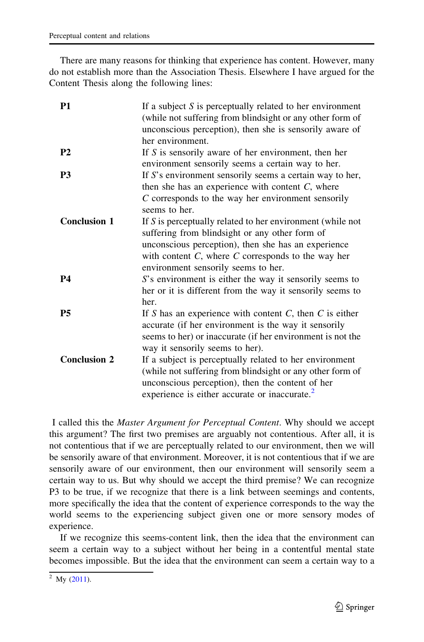There are many reasons for thinking that experience has content. However, many do not establish more than the Association Thesis. Elsewhere I have argued for the Content Thesis along the following lines:

| <b>P1</b>           | If a subject $S$ is perceptually related to her environment<br>(while not suffering from blindsight or any other form of<br>unconscious perception), then she is sensorily aware of                                                                                     |
|---------------------|-------------------------------------------------------------------------------------------------------------------------------------------------------------------------------------------------------------------------------------------------------------------------|
|                     | her environment.                                                                                                                                                                                                                                                        |
| <b>P2</b>           | If $S$ is sensorily aware of her environment, then her<br>environment sensorily seems a certain way to her.                                                                                                                                                             |
| <b>P3</b>           | If S's environment sensorily seems a certain way to her,<br>then she has an experience with content $C$ , where<br>$C$ corresponds to the way her environment sensorily<br>seems to her.                                                                                |
| <b>Conclusion 1</b> | If $S$ is perceptually related to her environment (while not<br>suffering from blindsight or any other form of<br>unconscious perception), then she has an experience<br>with content $C$ , where $C$ corresponds to the way her<br>environment sensorily seems to her. |
| <b>P4</b>           | S's environment is either the way it sensorily seems to<br>her or it is different from the way it sensorily seems to<br>her.                                                                                                                                            |
| <b>P5</b>           | If S has an experience with content $C$ , then $C$ is either<br>accurate (if her environment is the way it sensorily<br>seems to her) or inaccurate (if her environment is not the<br>way it sensorily seems to her).                                                   |
| <b>Conclusion 2</b> | If a subject is perceptually related to her environment<br>(while not suffering from blindsight or any other form of<br>unconscious perception), then the content of her<br>experience is either accurate or inaccurate. <sup>2</sup>                                   |

I called this the Master Argument for Perceptual Content. Why should we accept this argument? The first two premises are arguably not contentious. After all, it is not contentious that if we are perceptually related to our environment, then we will be sensorily aware of that environment. Moreover, it is not contentious that if we are sensorily aware of our environment, then our environment will sensorily seem a certain way to us. But why should we accept the third premise? We can recognize P3 to be true, if we recognize that there is a link between seemings and contents, more specifically the idea that the content of experience corresponds to the way the world seems to the experiencing subject given one or more sensory modes of experience.

If we recognize this seems-content link, then the idea that the environment can seem a certain way to a subject without her being in a contentful mental state becomes impossible. But the idea that the environment can seem a certain way to a

<sup>&</sup>lt;sup>2</sup> My  $(2011)$ .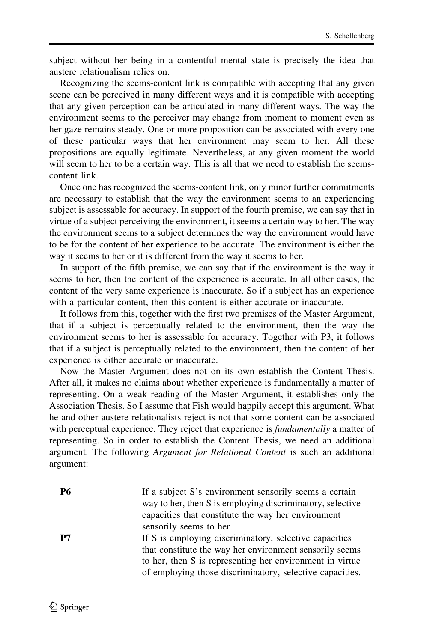subject without her being in a contentful mental state is precisely the idea that austere relationalism relies on.

Recognizing the seems-content link is compatible with accepting that any given scene can be perceived in many different ways and it is compatible with accepting that any given perception can be articulated in many different ways. The way the environment seems to the perceiver may change from moment to moment even as her gaze remains steady. One or more proposition can be associated with every one of these particular ways that her environment may seem to her. All these propositions are equally legitimate. Nevertheless, at any given moment the world will seem to her to be a certain way. This is all that we need to establish the seemscontent link.

Once one has recognized the seems-content link, only minor further commitments are necessary to establish that the way the environment seems to an experiencing subject is assessable for accuracy. In support of the fourth premise, we can say that in virtue of a subject perceiving the environment, it seems a certain way to her. The way the environment seems to a subject determines the way the environment would have to be for the content of her experience to be accurate. The environment is either the way it seems to her or it is different from the way it seems to her.

In support of the fifth premise, we can say that if the environment is the way it seems to her, then the content of the experience is accurate. In all other cases, the content of the very same experience is inaccurate. So if a subject has an experience with a particular content, then this content is either accurate or inaccurate.

It follows from this, together with the first two premises of the Master Argument, that if a subject is perceptually related to the environment, then the way the environment seems to her is assessable for accuracy. Together with P3, it follows that if a subject is perceptually related to the environment, then the content of her experience is either accurate or inaccurate.

Now the Master Argument does not on its own establish the Content Thesis. After all, it makes no claims about whether experience is fundamentally a matter of representing. On a weak reading of the Master Argument, it establishes only the Association Thesis. So I assume that Fish would happily accept this argument. What he and other austere relationalists reject is not that some content can be associated with perceptual experience. They reject that experience is *fundamentally* a matter of representing. So in order to establish the Content Thesis, we need an additional argument. The following Argument for Relational Content is such an additional argument:

| <b>P6</b> | If a subject S's environment sensorily seems a certain    |
|-----------|-----------------------------------------------------------|
|           | way to her, then S is employing discriminatory, selective |
|           | capacities that constitute the way her environment        |
|           | sensorily seems to her.                                   |
| P7        | If S is employing discriminatory, selective capacities    |
|           | that constitute the way her environment sensorily seems   |
|           | to her, then S is representing her environment in virtue  |
|           | of employing those discriminatory, selective capacities.  |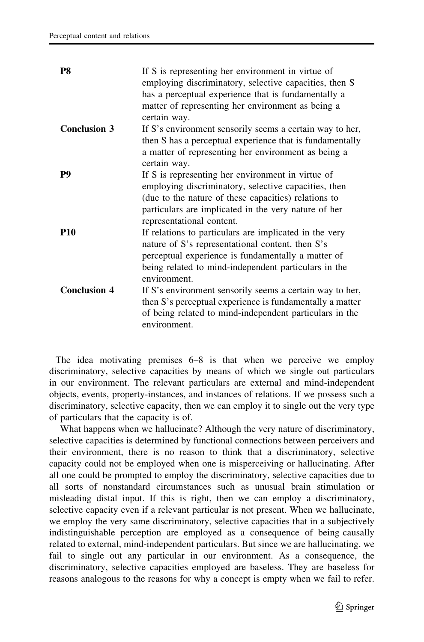| P <sub>8</sub>      | If S is representing her environment in virtue of<br>employing discriminatory, selective capacities, then S<br>has a perceptual experience that is fundamentally a<br>matter of representing her environment as being a<br>certain way.                |
|---------------------|--------------------------------------------------------------------------------------------------------------------------------------------------------------------------------------------------------------------------------------------------------|
| <b>Conclusion 3</b> | If S's environment sensorily seems a certain way to her,<br>then S has a perceptual experience that is fundamentally<br>a matter of representing her environment as being a<br>certain way.                                                            |
| P <sub>9</sub>      | If S is representing her environment in virtue of<br>employing discriminatory, selective capacities, then<br>(due to the nature of these capacities) relations to<br>particulars are implicated in the very nature of her<br>representational content. |
| <b>P10</b>          | If relations to particulars are implicated in the very<br>nature of S's representational content, then S's<br>perceptual experience is fundamentally a matter of<br>being related to mind-independent particulars in the<br>environment.               |
| <b>Conclusion 4</b> | If S's environment sensorily seems a certain way to her,<br>then S's perceptual experience is fundamentally a matter<br>of being related to mind-independent particulars in the<br>environment.                                                        |

The idea motivating premises 6–8 is that when we perceive we employ discriminatory, selective capacities by means of which we single out particulars in our environment. The relevant particulars are external and mind-independent objects, events, property-instances, and instances of relations. If we possess such a discriminatory, selective capacity, then we can employ it to single out the very type of particulars that the capacity is of.

What happens when we hallucinate? Although the very nature of discriminatory, selective capacities is determined by functional connections between perceivers and their environment, there is no reason to think that a discriminatory, selective capacity could not be employed when one is misperceiving or hallucinating. After all one could be prompted to employ the discriminatory, selective capacities due to all sorts of nonstandard circumstances such as unusual brain stimulation or misleading distal input. If this is right, then we can employ a discriminatory, selective capacity even if a relevant particular is not present. When we hallucinate, we employ the very same discriminatory, selective capacities that in a subjectively indistinguishable perception are employed as a consequence of being causally related to external, mind-independent particulars. But since we are hallucinating, we fail to single out any particular in our environment. As a consequence, the discriminatory, selective capacities employed are baseless. They are baseless for reasons analogous to the reasons for why a concept is empty when we fail to refer.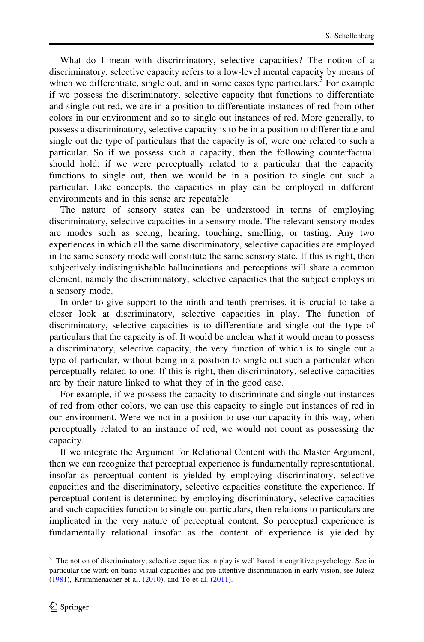What do I mean with discriminatory, selective capacities? The notion of a discriminatory, selective capacity refers to a low-level mental capacity by means of which we differentiate, single out, and in some cases type particulars.<sup>3</sup> For example if we possess the discriminatory, selective capacity that functions to differentiate and single out red, we are in a position to differentiate instances of red from other colors in our environment and so to single out instances of red. More generally, to possess a discriminatory, selective capacity is to be in a position to differentiate and single out the type of particulars that the capacity is of, were one related to such a particular. So if we possess such a capacity, then the following counterfactual should hold: if we were perceptually related to a particular that the capacity functions to single out, then we would be in a position to single out such a particular. Like concepts, the capacities in play can be employed in different environments and in this sense are repeatable.

The nature of sensory states can be understood in terms of employing discriminatory, selective capacities in a sensory mode. The relevant sensory modes are modes such as seeing, hearing, touching, smelling, or tasting. Any two experiences in which all the same discriminatory, selective capacities are employed in the same sensory mode will constitute the same sensory state. If this is right, then subjectively indistinguishable hallucinations and perceptions will share a common element, namely the discriminatory, selective capacities that the subject employs in a sensory mode.

In order to give support to the ninth and tenth premises, it is crucial to take a closer look at discriminatory, selective capacities in play. The function of discriminatory, selective capacities is to differentiate and single out the type of particulars that the capacity is of. It would be unclear what it would mean to possess a discriminatory, selective capacity, the very function of which is to single out a type of particular, without being in a position to single out such a particular when perceptually related to one. If this is right, then discriminatory, selective capacities are by their nature linked to what they of in the good case.

For example, if we possess the capacity to discriminate and single out instances of red from other colors, we can use this capacity to single out instances of red in our environment. Were we not in a position to use our capacity in this way, when perceptually related to an instance of red, we would not count as possessing the capacity.

If we integrate the Argument for Relational Content with the Master Argument, then we can recognize that perceptual experience is fundamentally representational, insofar as perceptual content is yielded by employing discriminatory, selective capacities and the discriminatory, selective capacities constitute the experience. If perceptual content is determined by employing discriminatory, selective capacities and such capacities function to single out particulars, then relations to particulars are implicated in the very nature of perceptual content. So perceptual experience is fundamentally relational insofar as the content of experience is yielded by

<sup>&</sup>lt;sup>3</sup> The notion of discriminatory, selective capacities in play is well based in cognitive psychology. See in particular the work on basic visual capacities and pre-attentive discrimination in early vision, see Julesz (1981), Krummenacher et al. (2010), and To et al. (2011).